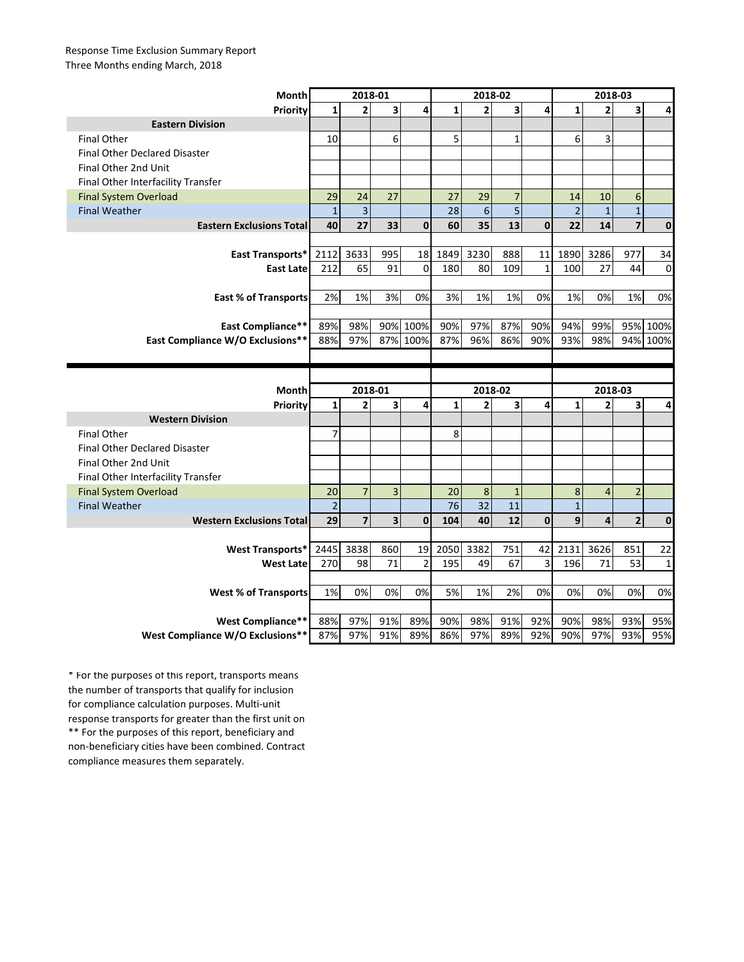## Response Time Exclusion Summary Report Three Months ending March, 2018

| <b>Month</b>                            | 2018-01        |                          |     |                | 2018-02      |                |                |             | 2018-03        |                |                         |              |
|-----------------------------------------|----------------|--------------------------|-----|----------------|--------------|----------------|----------------|-------------|----------------|----------------|-------------------------|--------------|
| Priority                                | 1              | $\overline{2}$           | 3   | 4              | $\mathbf{1}$ | $\overline{2}$ | 3              | 4           | $\mathbf{1}$   | $\overline{2}$ | 3                       | 4            |
| <b>Eastern Division</b>                 |                |                          |     |                |              |                |                |             |                |                |                         |              |
| <b>Final Other</b>                      | 10             |                          | 6   |                | 5            |                | $\mathbf{1}$   |             | 6              | 3              |                         |              |
| Final Other Declared Disaster           |                |                          |     |                |              |                |                |             |                |                |                         |              |
| Final Other 2nd Unit                    |                |                          |     |                |              |                |                |             |                |                |                         |              |
| Final Other Interfacility Transfer      |                |                          |     |                |              |                |                |             |                |                |                         |              |
| <b>Final System Overload</b>            | 29             | 24                       | 27  |                | 27           | 29             | $\overline{7}$ |             | 14             | 10             | 6                       |              |
| <b>Final Weather</b>                    | $\mathbf{1}$   | $\overline{\mathbf{3}}$  |     |                | 28           | 6              | $\overline{5}$ |             | $\overline{2}$ | $\mathbf{1}$   | $\overline{1}$          |              |
| <b>Eastern Exclusions Total</b>         | 40             | 27                       | 33  | $\mathbf{0}$   | 60           | 35             | 13             | $\mathbf 0$ | 22             | 14             | $\overline{\mathbf{z}}$ | $\bf{0}$     |
|                                         |                |                          |     |                |              |                |                |             |                |                |                         |              |
| East Transports*                        | 2112           | 3633                     | 995 | 18             | 1849         | 3230           | 888            | 11          | 1890           | 3286           | 977                     | 34           |
| <b>East Late</b>                        | 212            | 65                       | 91  | $\mathbf 0$    | 180          | 80             | 109            | 1           | 100            | 27             | 44                      | $\mathbf 0$  |
|                                         |                |                          |     |                |              |                |                |             |                |                |                         |              |
| <b>East % of Transports</b>             | 2%             | 1%                       | 3%  | 0%             | 3%           | 1%             | 1%             | 0%          | 1%             | 0%             | 1%                      | 0%           |
|                                         |                |                          |     |                |              |                |                |             |                |                |                         |              |
| <b>East Compliance**</b>                | 89%            | 98%                      | 90% | 100%           | 90%          | 97%            | 87%            | 90%         | 94%            | 99%            | 95%                     | 100%         |
| <b>East Compliance W/O Exclusions**</b> | 88%            | 97%                      | 87% | 100%           | 87%          | 96%            | 86%            | 90%         | 93%            | 98%            | 94%                     | 100%         |
|                                         |                |                          |     |                |              |                |                |             |                |                |                         |              |
|                                         |                |                          |     |                |              |                |                |             |                |                |                         |              |
|                                         |                |                          |     |                |              |                |                |             |                |                |                         |              |
| Month                                   |                | 2018-01                  |     |                |              | 2018-02        |                |             |                | 2018-03        |                         |              |
| Priority                                | $\mathbf{1}$   | $\overline{2}$           | 3   | 4              | $\mathbf{1}$ | $\overline{2}$ | 3              | 4           | $\mathbf{1}$   | $\overline{2}$ | 3                       | 4            |
| <b>Western Division</b>                 |                |                          |     |                |              |                |                |             |                |                |                         |              |
| <b>Final Other</b>                      | 7              |                          |     |                | 8            |                |                |             |                |                |                         |              |
| <b>Final Other Declared Disaster</b>    |                |                          |     |                |              |                |                |             |                |                |                         |              |
| Final Other 2nd Unit                    |                |                          |     |                |              |                |                |             |                |                |                         |              |
| Final Other Interfacility Transfer      |                |                          |     |                |              |                |                |             |                |                |                         |              |
| <b>Final System Overload</b>            | 20             | $\overline{7}$           | 3   |                | 20           | 8              | $\mathbf{1}$   |             | 8              | $\overline{4}$ | $\overline{2}$          |              |
| <b>Final Weather</b>                    | $\overline{2}$ |                          |     |                | 76           | 32             | 11             |             | $\mathbf{1}$   |                |                         |              |
| <b>Western Exclusions Total</b>         | 29             | $\overline{\phantom{a}}$ | 3   | $\bf{0}$       | 104          | 40             | 12             | $\mathbf 0$ | 9              | 4              | $\mathbf 2$             | $\bf{0}$     |
|                                         |                |                          |     |                |              |                |                |             |                |                |                         |              |
| <b>West Transports*</b>                 | 2445           | 3838                     | 860 | 19             | 2050         | 3382           | 751            | 42          | 2131           | 3626           | 851                     | 22           |
| <b>West Late</b>                        | 270            | 98                       | 71  | $\overline{2}$ | 195          | 49             | 67             | 3           | 196            | 71             | 53                      | $\mathbf{1}$ |
|                                         |                |                          |     |                |              |                |                |             |                |                |                         |              |
| <b>West % of Transports</b>             | 1%             | 0%                       | 0%  | 0%             | 5%           | 1%             | 2%             | 0%          | 0%             | 0%             | 0%                      | 0%           |
|                                         |                |                          |     |                |              |                |                |             |                |                |                         |              |
| West Compliance**                       | 88%            | 97%<br>97%               | 91% | 89%            | 90%          | 98%            | 91%            | 92%         | 90%            | 98%<br>97%     | 93%                     | 95%          |

\*\* For the purposes of this report, beneficiary and non-beneficiary cities have been combined. Contract compliance measures them separately. \* For the purposes of this report, transports means the number of transports that qualify for inclusion for compliance calculation purposes. Multi-unit response transports for greater than the first unit on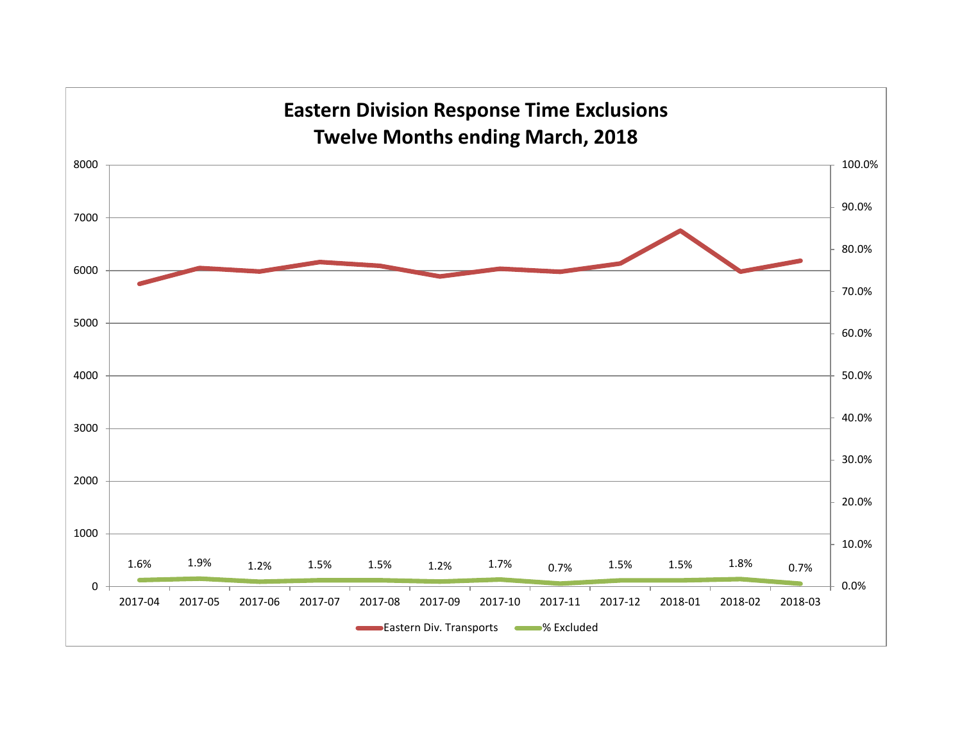